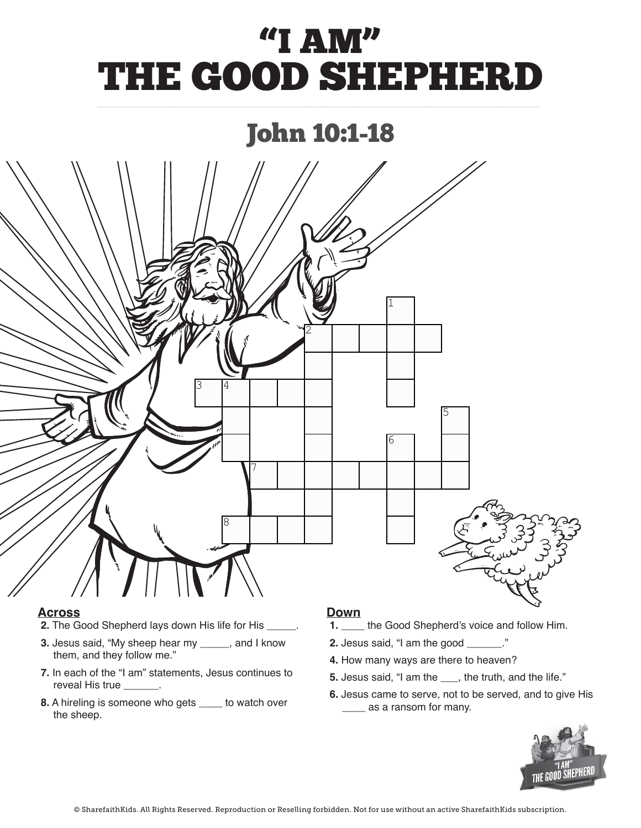# "I AM" THE GOOD SHEPHERD

### John 10:1-18



### $Across$ </u>

- **2.** The Good Shepherd lays down His life for His \_\_\_\_\_.
- **3.** Jesus said, "My sheep hear my **\_\_\_\_\_**, and I know them, and they follow me." **1. In each of the "I con" statements, Jesus continues**
- **7.** In each of the "I am" statements, Jesus continues to reveal His true **\_\_\_\_\_\_**.
- **8.** A hireling is someone who gets **echancial** to watch over the sheep.

#### **Down**

- **1.** \_\_\_\_\_ the Good Shepherd's voice and follow Him.
- **2.** Jesus said, "I am the good **\_\_\_\_\_\_**."
- **4.** How many ways are there to heaven?
- **5.** Jesus said, "I am the **\_\_\_**, the truth, and the life." **5.** Jesus said, "I am the \_\_\_, the truth, and the
- **6.** Jesus came to serve, not to be served, and to give His  $\frac{1}{2}$ **6. Alternative as a ransom for many.** The series are served, and to be served, and to be served, and to be served, and to be served, and to be served, and to be served, and to be served, and to be served, and to be served